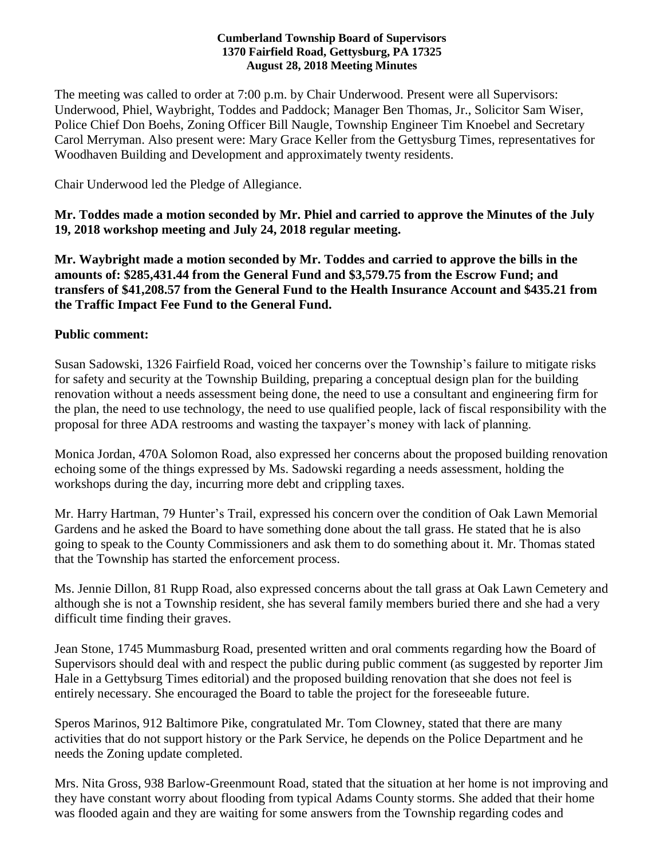#### **Cumberland Township Board of Supervisors 1370 Fairfield Road, Gettysburg, PA 17325 August 28, 2018 Meeting Minutes**

The meeting was called to order at 7:00 p.m. by Chair Underwood. Present were all Supervisors: Underwood, Phiel, Waybright, Toddes and Paddock; Manager Ben Thomas, Jr., Solicitor Sam Wiser, Police Chief Don Boehs, Zoning Officer Bill Naugle, Township Engineer Tim Knoebel and Secretary Carol Merryman. Also present were: Mary Grace Keller from the Gettysburg Times, representatives for Woodhaven Building and Development and approximately twenty residents.

Chair Underwood led the Pledge of Allegiance.

**Mr. Toddes made a motion seconded by Mr. Phiel and carried to approve the Minutes of the July 19, 2018 workshop meeting and July 24, 2018 regular meeting.**

**Mr. Waybright made a motion seconded by Mr. Toddes and carried to approve the bills in the amounts of: \$285,431.44 from the General Fund and \$3,579.75 from the Escrow Fund; and transfers of \$41,208.57 from the General Fund to the Health Insurance Account and \$435.21 from the Traffic Impact Fee Fund to the General Fund.** 

### **Public comment:**

Susan Sadowski, 1326 Fairfield Road, voiced her concerns over the Township's failure to mitigate risks for safety and security at the Township Building, preparing a conceptual design plan for the building renovation without a needs assessment being done, the need to use a consultant and engineering firm for the plan, the need to use technology, the need to use qualified people, lack of fiscal responsibility with the proposal for three ADA restrooms and wasting the taxpayer's money with lack of planning.

Monica Jordan, 470A Solomon Road, also expressed her concerns about the proposed building renovation echoing some of the things expressed by Ms. Sadowski regarding a needs assessment, holding the workshops during the day, incurring more debt and crippling taxes.

Mr. Harry Hartman, 79 Hunter's Trail, expressed his concern over the condition of Oak Lawn Memorial Gardens and he asked the Board to have something done about the tall grass. He stated that he is also going to speak to the County Commissioners and ask them to do something about it. Mr. Thomas stated that the Township has started the enforcement process.

Ms. Jennie Dillon, 81 Rupp Road, also expressed concerns about the tall grass at Oak Lawn Cemetery and although she is not a Township resident, she has several family members buried there and she had a very difficult time finding their graves.

Jean Stone, 1745 Mummasburg Road, presented written and oral comments regarding how the Board of Supervisors should deal with and respect the public during public comment (as suggested by reporter Jim Hale in a Gettybsurg Times editorial) and the proposed building renovation that she does not feel is entirely necessary. She encouraged the Board to table the project for the foreseeable future.

Speros Marinos, 912 Baltimore Pike, congratulated Mr. Tom Clowney, stated that there are many activities that do not support history or the Park Service, he depends on the Police Department and he needs the Zoning update completed.

Mrs. Nita Gross, 938 Barlow-Greenmount Road, stated that the situation at her home is not improving and they have constant worry about flooding from typical Adams County storms. She added that their home was flooded again and they are waiting for some answers from the Township regarding codes and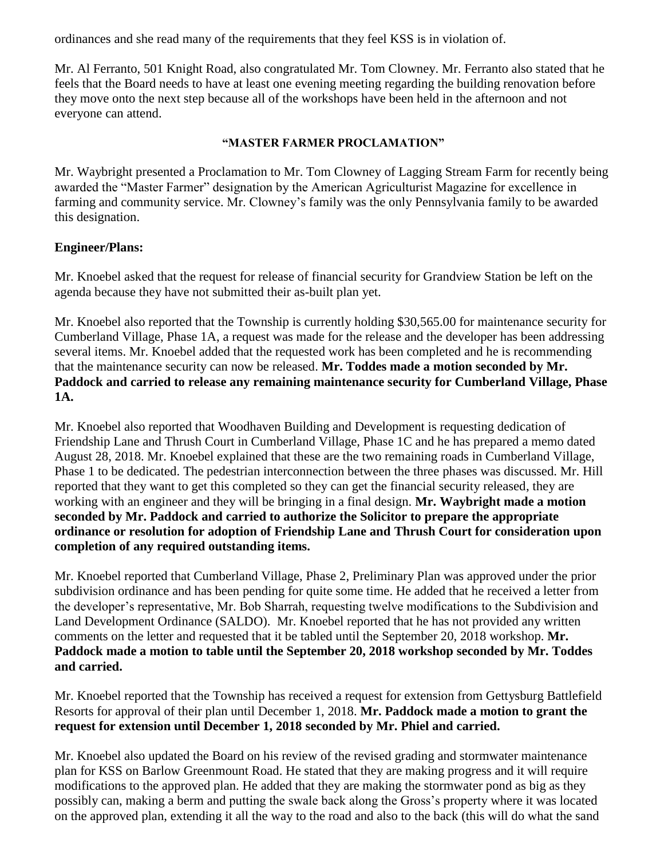ordinances and she read many of the requirements that they feel KSS is in violation of.

Mr. Al Ferranto, 501 Knight Road, also congratulated Mr. Tom Clowney. Mr. Ferranto also stated that he feels that the Board needs to have at least one evening meeting regarding the building renovation before they move onto the next step because all of the workshops have been held in the afternoon and not everyone can attend.

## **"MASTER FARMER PROCLAMATION"**

Mr. Waybright presented a Proclamation to Mr. Tom Clowney of Lagging Stream Farm for recently being awarded the "Master Farmer" designation by the American Agriculturist Magazine for excellence in farming and community service. Mr. Clowney's family was the only Pennsylvania family to be awarded this designation.

### **Engineer/Plans:**

Mr. Knoebel asked that the request for release of financial security for Grandview Station be left on the agenda because they have not submitted their as-built plan yet.

Mr. Knoebel also reported that the Township is currently holding \$30,565.00 for maintenance security for Cumberland Village, Phase 1A, a request was made for the release and the developer has been addressing several items. Mr. Knoebel added that the requested work has been completed and he is recommending that the maintenance security can now be released. **Mr. Toddes made a motion seconded by Mr. Paddock and carried to release any remaining maintenance security for Cumberland Village, Phase 1A.**

Mr. Knoebel also reported that Woodhaven Building and Development is requesting dedication of Friendship Lane and Thrush Court in Cumberland Village, Phase 1C and he has prepared a memo dated August 28, 2018. Mr. Knoebel explained that these are the two remaining roads in Cumberland Village, Phase 1 to be dedicated. The pedestrian interconnection between the three phases was discussed. Mr. Hill reported that they want to get this completed so they can get the financial security released, they are working with an engineer and they will be bringing in a final design. **Mr. Waybright made a motion seconded by Mr. Paddock and carried to authorize the Solicitor to prepare the appropriate ordinance or resolution for adoption of Friendship Lane and Thrush Court for consideration upon completion of any required outstanding items.** 

Mr. Knoebel reported that Cumberland Village, Phase 2, Preliminary Plan was approved under the prior subdivision ordinance and has been pending for quite some time. He added that he received a letter from the developer's representative, Mr. Bob Sharrah, requesting twelve modifications to the Subdivision and Land Development Ordinance (SALDO). Mr. Knoebel reported that he has not provided any written comments on the letter and requested that it be tabled until the September 20, 2018 workshop. **Mr. Paddock made a motion to table until the September 20, 2018 workshop seconded by Mr. Toddes and carried.**

Mr. Knoebel reported that the Township has received a request for extension from Gettysburg Battlefield Resorts for approval of their plan until December 1, 2018. **Mr. Paddock made a motion to grant the request for extension until December 1, 2018 seconded by Mr. Phiel and carried.**

Mr. Knoebel also updated the Board on his review of the revised grading and stormwater maintenance plan for KSS on Barlow Greenmount Road. He stated that they are making progress and it will require modifications to the approved plan. He added that they are making the stormwater pond as big as they possibly can, making a berm and putting the swale back along the Gross's property where it was located on the approved plan, extending it all the way to the road and also to the back (this will do what the sand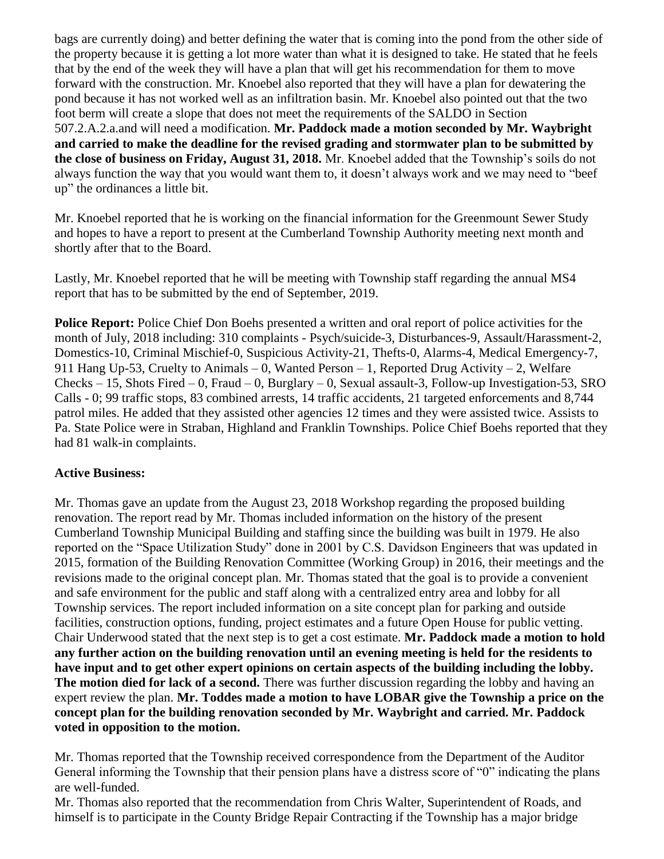bags are currently doing) and better defining the water that is coming into the pond from the other side of the property because it is getting a lot more water than what it is designed to take. He stated that he feels that by the end of the week they will have a plan that will get his recommendation for them to move forward with the construction. Mr. Knoebel also reported that they will have a plan for dewatering the pond because it has not worked well as an infiltration basin. Mr. Knoebel also pointed out that the two foot berm will create a slope that does not meet the requirements of the SALDO in Section 507.2.A.2.a.and will need a modification. **Mr. Paddock made a motion seconded by Mr. Waybright and carried to make the deadline for the revised grading and stormwater plan to be submitted by the close of business on Friday, August 31, 2018.** Mr. Knoebel added that the Township's soils do not always function the way that you would want them to, it doesn't always work and we may need to "beef up" the ordinances a little bit.

Mr. Knoebel reported that he is working on the financial information for the Greenmount Sewer Study and hopes to have a report to present at the Cumberland Township Authority meeting next month and shortly after that to the Board.

Lastly, Mr. Knoebel reported that he will be meeting with Township staff regarding the annual MS4 report that has to be submitted by the end of September, 2019.

**Police Report:** Police Chief Don Boehs presented a written and oral report of police activities for the month of July, 2018 including: 310 complaints - Psych/suicide-3, Disturbances-9, Assault/Harassment-2, Domestics-10, Criminal Mischief-0, Suspicious Activity-21, Thefts-0, Alarms-4, Medical Emergency-7, 911 Hang Up-53, Cruelty to Animals – 0, Wanted Person – 1, Reported Drug Activity – 2, Welfare Checks – 15, Shots Fired – 0, Fraud – 0, Burglary – 0, Sexual assault-3, Follow-up Investigation-53, SRO Calls - 0; 99 traffic stops, 83 combined arrests, 14 traffic accidents, 21 targeted enforcements and 8,744 patrol miles. He added that they assisted other agencies 12 times and they were assisted twice. Assists to Pa. State Police were in Straban, Highland and Franklin Townships. Police Chief Boehs reported that they had 81 walk-in complaints.

# **Active Business:**

Mr. Thomas gave an update from the August 23, 2018 Workshop regarding the proposed building renovation. The report read by Mr. Thomas included information on the history of the present Cumberland Township Municipal Building and staffing since the building was built in 1979. He also reported on the "Space Utilization Study" done in 2001 by C.S. Davidson Engineers that was updated in 2015, formation of the Building Renovation Committee (Working Group) in 2016, their meetings and the revisions made to the original concept plan. Mr. Thomas stated that the goal is to provide a convenient and safe environment for the public and staff along with a centralized entry area and lobby for all Township services. The report included information on a site concept plan for parking and outside facilities, construction options, funding, project estimates and a future Open House for public vetting. Chair Underwood stated that the next step is to get a cost estimate. **Mr. Paddock made a motion to hold any further action on the building renovation until an evening meeting is held for the residents to have input and to get other expert opinions on certain aspects of the building including the lobby. The motion died for lack of a second.** There was further discussion regarding the lobby and having an expert review the plan. **Mr. Toddes made a motion to have LOBAR give the Township a price on the concept plan for the building renovation seconded by Mr. Waybright and carried. Mr. Paddock voted in opposition to the motion.** 

Mr. Thomas reported that the Township received correspondence from the Department of the Auditor General informing the Township that their pension plans have a distress score of "0" indicating the plans are well-funded.

Mr. Thomas also reported that the recommendation from Chris Walter, Superintendent of Roads, and himself is to participate in the County Bridge Repair Contracting if the Township has a major bridge